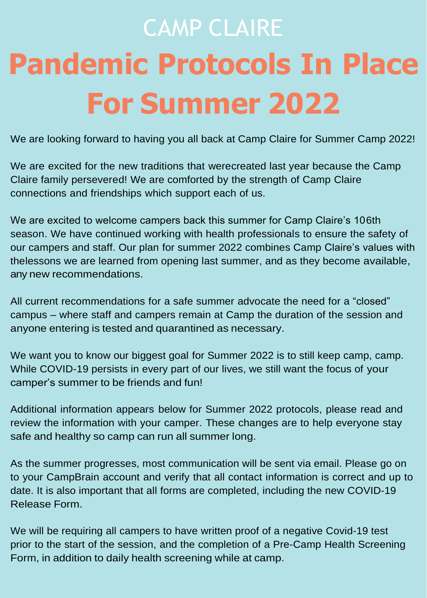# CAMP CLAIRE **Pandemic Protocols In Place For Summer 2022**

We are looking forward to having you all back at Camp Claire for Summer Camp 2022!

We are excited for the new traditions that werecreated last year because the Camp Claire family persevered! We are comforted by the strength of Camp Claire connections and friendships which support each of us.

We are excited to welcome campers back this summer for Camp Claire's 106th season. We have continued working with health professionals to ensure the safety of our campers and staff. Our plan for summer 2022 combines Camp Claire's values with thelessons we are learned from opening last summer, and as they become available, any new recommendations.

All current recommendations for a safe summer advocate the need for a "closed" campus – where staff and campers remain at Camp the duration of the session and anyone entering is tested and quarantined as necessary.

We want you to know our biggest goal for Summer 2022 is to still keep camp, camp. While COVID-19 persists in every part of our lives, we still want the focus of your camper's summer to be friends and fun!

Additional information appears below for Summer 2022 protocols, please read and review the information with your camper. These changes are to help everyone stay safe and healthy so camp can run all summer long.

As the summer progresses, most communication will be sent via email. Please go on to your CampBrain account and verify that all contact information is correct and up to date. It is also important that all forms are completed, including the new COVID-19 Release Form.

We will be requiring all campers to have written proof of a negative Covid-19 test prior to the start of the session, and the completion of a Pre-Camp Health Screening Form, in addition to daily health screening while at camp.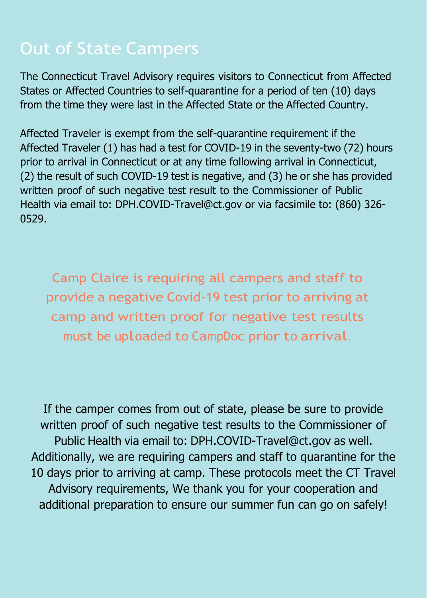# Out of State Campers

The Connecticut Travel Advisory requires visitors to Connecticut from Affected States or Affected Countries to self-quarantine for a period of ten (10) days from the time they were last in the Affected State or the Affected Country.

Affected Traveler is exempt from the self-quarantine requirement if the Affected Traveler (1) has had a test for COVID-19 in the seventy-two (72) hours prior to arrival in Connecticut or at any time following arrival in Connecticut, (2) the result of such COVID-19 test is negative, and (3) he or she has provided written proof of such negative test result to the Commissioner of Public Health via email to: [DPH.COVID-Travel@ct.gov o](mailto:DPH.COVID-Travel@ct.gov)r via facsimile to: (860) 326- 0529.

Camp Claire is requiring all campers and staff to provide a negative Covid-19 test prior to arriving at camp and written proof for negative test results must be uploaded to CampDoc prior to arrival.

If the camper comes from out of state, please be sure to provide written proof of such negative test results to the Commissioner of Public Health via email to: [DPH.COVID-Travel@ct.gov](mailto:DPH.COVID-Travel@ct.gov) as well. Additionally, we are requiring campers and staff to quarantine for the 10 days prior to arriving at camp. These protocols meet the CT Travel Advisory requirements, We thank you for your cooperation and additional preparation to ensure our summer fun can go on safely!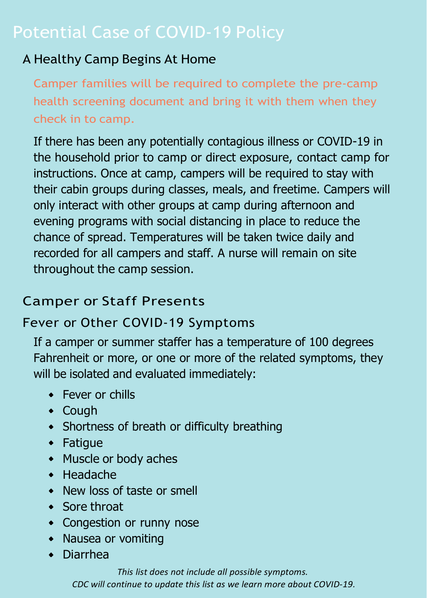#### A Healthy Camp Begins At Home

Camper families will be required to complete the pre-camp health screening document and bring it with them when they check in to camp.

If there has been any potentially contagious illness or COVID-19 in the household prior to camp or direct exposure, contact camp for instructions. Once at camp, campers will be required to stay with their cabin groups during classes, meals, and freetime. Campers will only interact with other groups at camp during afternoon and evening programs with social distancing in place to reduce the chance of spread. Temperatures will be taken twice daily and recorded for all campers and staff. A nurse will remain on site throughout the camp session.

#### Camper or Staff Presents

#### Fever or Other COVID-19 Symptoms

If a camper or summer staffer has a temperature of 100 degrees Fahrenheit or more, or one or more of the related symptoms, they will be isolated and evaluated immediately:

- **•** Fever or chills
- Cough
- Shortness of breath or difficulty breathing
- Fatigue
- Muscle or body aches
- $\bullet$  Headache
- New loss of taste or smell
- Sore throat
- Congestion or runny nose
- Nausea or vomiting
- Diarrhea

*This list does not include all possible symptoms. CDC will continue to update this list as we learn more about COVID-19.*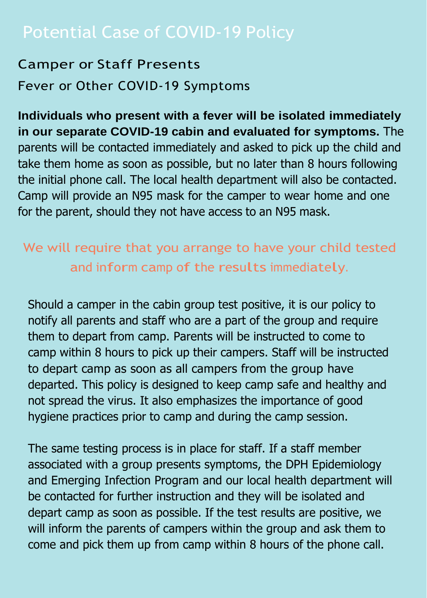#### Potential Case of COVID-19 Policy

#### Camper or Staff Presents Fever or Other COVID-19 Symptoms

**Individuals who present with a fever will be isolated immediately in our separate COVID-19 cabin and evaluated for symptoms.** The parents will be contacted immediately and asked to pick up the child and take them home as soon as possible, but no later than 8 hours following the initial phone call. The local health department will also be contacted. Camp will provide an N95 mask for the camper to wear home and one for the parent, should they not have access to an N95 mask.

#### We will require that you arrange to have your child tested and inform camp of the results immediately.

Should a camper in the cabin group test positive, it is our policy to notify all parents and staff who are a part of the group and require them to depart from camp. Parents will be instructed to come to camp within 8 hours to pick up their campers. Staff will be instructed to depart camp as soon as all campers from the group have departed. This policy is designed to keep camp safe and healthy and not spread the virus. It also emphasizes the importance of good hygiene practices prior to camp and during the camp session.

The same testing process is in place for staff. If a staff member associated with a group presents symptoms, the DPH Epidemiology and Emerging Infection Program and our local health department will be contacted for further instruction and they will be isolated and depart camp as soon as possible. If the test results are positive, we will inform the parents of campers within the group and ask them to come and pick them up from camp within 8 hours of the phone call.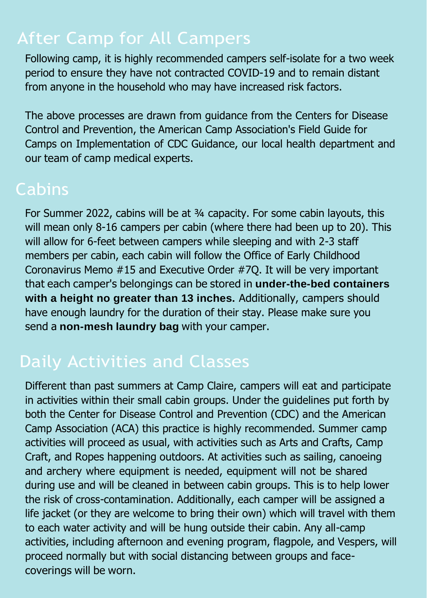# After Camp for All Campers

Following camp, it is highly recommended campers self-isolate for a two week period to ensure they have not contracted COVID-19 and to remain distant from anyone in the household who may have increased risk factors.

The above processes are drawn from guidance from the Centers for Disease Control and Prevention, the American Camp Association's Field Guide for Camps on Implementation of CDC Guidance, our local health department and our team of camp medical experts.

#### **Cabins**

For Summer 2022, cabins will be at 3/4 capacity. For some cabin layouts, this will mean only 8-16 campers per cabin (where there had been up to 20). This will allow for 6-feet between campers while sleeping and with 2-3 staff members per cabin, each cabin will follow the Office of Early Childhood Coronavirus Memo #15 and Executive Order #7Q. It will be very important that each camper's belongings can be stored in **under-the-bed containers** with a height no greater than 13 inches. Additionally, campers should have enough laundry for the duration of their stay. Please make sure you send a **non-mesh laundry bag** with your camper.

# Daily Activities and Classes

Different than past summers at Camp Claire, campers will eat and participate in activities within their small cabin groups. Under the guidelines put forth by both the Center for Disease Control and Prevention (CDC) and the American Camp Association (ACA) this practice is highly recommended. Summer camp activities will proceed as usual, with activities such as Arts and Crafts, Camp Craft, and Ropes happening outdoors. At activities such as sailing, canoeing and archery where equipment is needed, equipment will not be shared during use and will be cleaned in between cabin groups. This is to help lower the risk of cross-contamination. Additionally, each camper will be assigned a life jacket (or they are welcome to bring their own) which will travel with them to each water activity and will be hung outside their cabin. Any all-camp activities, including afternoon and evening program, flagpole, and Vespers, will proceed normally but with social distancing between groups and facecoverings will be worn.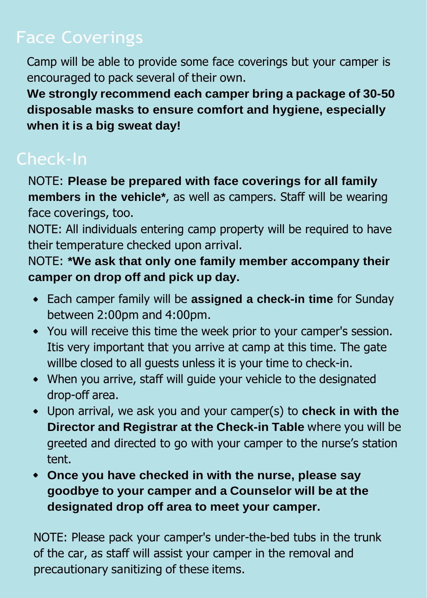# Face Coverings

Camp will be able to provide some face coverings but your camper is encouraged to pack several of their own.

**We strongly recommend each camper bring a package of 30-50 disposable masks to ensure comfort and hygiene, especially when it is a big sweat day!**

NOTE: **Please be prepared with face coverings for all family members in the vehicle\***, as well as campers. Staff will be wearing face coverings, too.

NOTE: All individuals entering camp property will be required to have their temperature checked upon arrival.

NOTE: **\*We ask that only one family member accompany their camper on drop off and pick up day.**

- Each camper family will be **assigned a check-in time** for Sunday between 2:00pm and 4:00pm.
- You will receive this time the week prior to your camper's session. Itis very important that you arrive at camp at this time. The gate willbe closed to all guests unless it is your time to check-in.
- When you arrive, staff will guide your vehicle to the designated drop-off area.
- Upon arrival, we ask you and your camper(s) to **check in with the Director and Registrar at the Check-in Table** where you will be greeted and directed to go with your camper to the nurse's station tent.
- **Once you have checked in with the nurse, please say goodbye to your camper and a Counselor will be at the designated drop off area to meet your camper.**

NOTE: Please pack your camper's under-the-bed tubs in the trunk of the car, as staff will assist your camper in the removal and precautionary sanitizing of these items.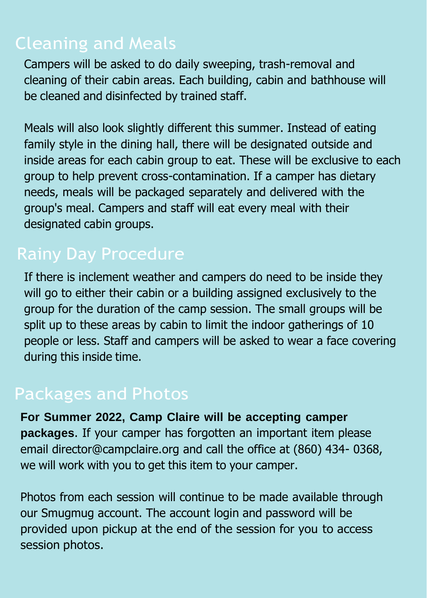### Cleaning and Meals

Campers will be asked to do daily sweeping, trash-removal and cleaning of their cabin areas. Each building, cabin and bathhouse will be cleaned and disinfected by trained staff.

Meals will also look slightly different this summer. Instead of eating family style in the dining hall, there will be designated outside and inside areas for each cabin group to eat. These will be exclusive to each group to help prevent cross-contamination. If a camper has dietary needs, meals will be packaged separately and delivered with the group's meal. Campers and staff will eat every meal with their designated cabin groups.

#### Rainy Day Procedure

If there is inclement weather and campers do need to be inside they will go to either their cabin or a building assigned exclusively to the group for the duration of the camp session. The small groups will be split up to these areas by cabin to limit the indoor gatherings of 10 people or less. Staff and campers will be asked to wear a face covering during this inside time.

#### Packages and Photos

**For Summer 2022, Camp Claire will be accepting camper packages**. If your camper has forgotten an important item please email [director@campclaire.org a](mailto:director@campclaire.org)nd call the office at (860) 434- 0368, we will work with you to get this item to your camper.

Photos from each session will continue to be made available through our Smugmug account. The account login and password will be provided upon pickup at the end of the session for you to access session photos.